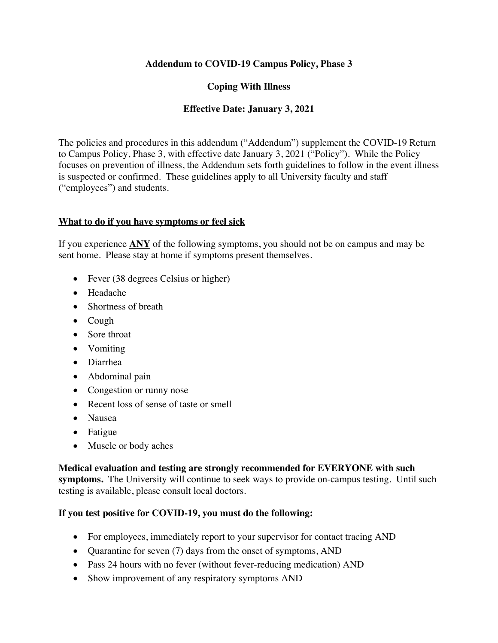### **Addendum to COVID-19 Campus Policy, Phase 3**

## **Coping With Illness**

## **Effective Date: January 3, 2021**

The policies and procedures in this addendum ("Addendum") supplement the COVID-19 Return to Campus Policy, Phase 3, with effective date January 3, 2021 ("Policy"). While the Policy focuses on prevention of illness, the Addendum sets forth guidelines to follow in the event illness is suspected or confirmed. These guidelines apply to all University faculty and staff ("employees") and students.

### **What to do if you have symptoms or feel sick**

If you experience **ANY** of the following symptoms, you should not be on campus and may be sent home. Please stay at home if symptoms present themselves.

- Fever (38 degrees Celsius or higher)
- Headache
- Shortness of breath
- Cough
- Sore throat
- Vomiting
- Diarrhea
- Abdominal pain
- Congestion or runny nose
- Recent loss of sense of taste or smell
- Nausea
- Fatigue
- Muscle or body aches

#### **Medical evaluation and testing are strongly recommended for EVERYONE with such**

**symptoms.** The University will continue to seek ways to provide on-campus testing. Until such testing is available, please consult local doctors.

## **If you test positive for COVID-19, you must do the following:**

- For employees, immediately report to your supervisor for contact tracing AND
- Quarantine for seven (7) days from the onset of symptoms, AND
- Pass 24 hours with no fever (without fever-reducing medication) AND
- Show improvement of any respiratory symptoms AND